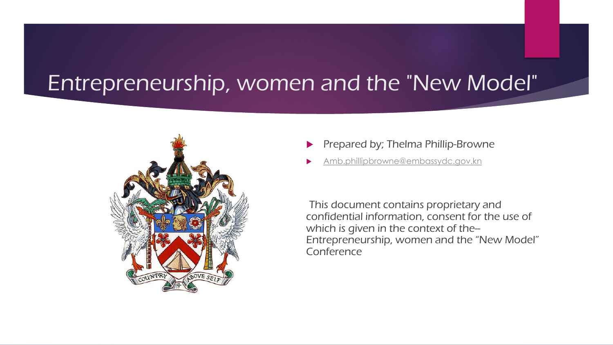# Entrepreneurship, women and the "New Model"



- Prepared by; Thelma Phillip-Browne
- [Amb.phillipbrowne@embassydc.gov.kn](mailto:Amb.phillipbrowne@embassydc.gov.kn)

This document contains proprietary and confidential information, consent for the use of which is given in the context of the--Entrepreneurship, women and the "New Model" Conference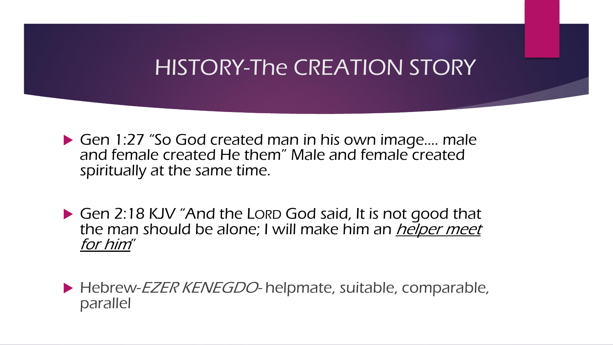# HISTORY-The CREATION STORY

▶ Gen 1:27 "So God created man in his own image.... male and female created He them" Male and female created spiritually at the same time.

Gen 2:18 KJV "And the LORD God said, It is not good that the man should be alone; I will make him an *helper meet* for him"

Hebrew-EZER KENEGDO- helpmate, suitable, comparable, parallel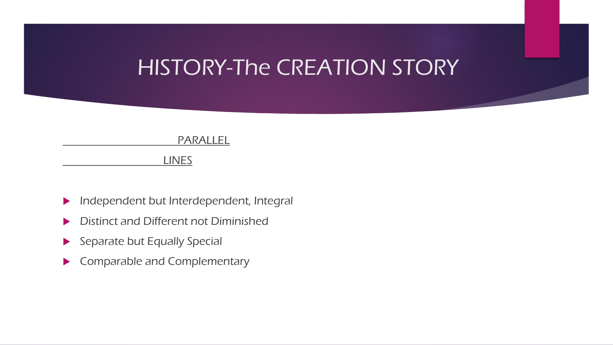## HISTORY-The CREATION STORY

#### PARALLEL

LINES

- **Independent but Interdependent, Integral**
- **Distinct and Different not Diminished**
- $\blacktriangleright$  Separate but Equally Special
- Comparable and Complementary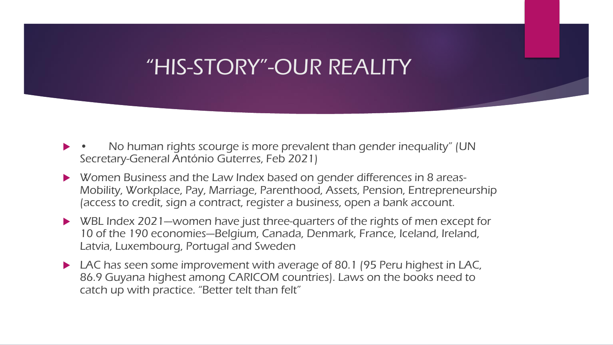# "HIS-STORY"-OUR REALITY

- No human rights scourge is more prevalent than gender inequality" (UN Secretary-General António Guterres, Feb 2021)
- Women Business and the Law Index based on gender differences in 8 areas-Mobility, Workplace, Pay, Marriage, Parenthood, Assets, Pension, Entrepreneurship (access to credit, sign a contract, register a business, open a bank account.
- $\triangleright$  WBL Index 2021--women have just three-quarters of the rights of men except for 10 of the 190 economies--Belgium, Canada, Denmark, France, Iceland, Ireland, Latvia, Luxembourg, Portugal and Sweden
- ▶ LAC has seen some improvement with average of 80.1 (95 Peru highest in LAC, 86.9 Guyana highest among CARICOM countries). Laws on the books need to catch up with practice. "Better telt than felt"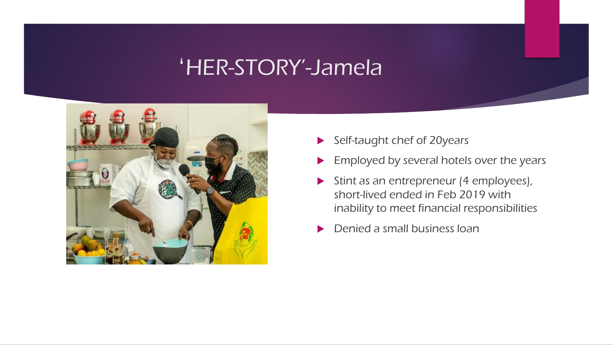## 'HER-STORY'-Jamela



- Self-taught chef of 20years
- **Employed by several hotels over the years**
- Stint as an entrepreneur (4 employees), short-lived ended in Feb 2019 with inability to meet financial responsibilities
- Denied a small business loan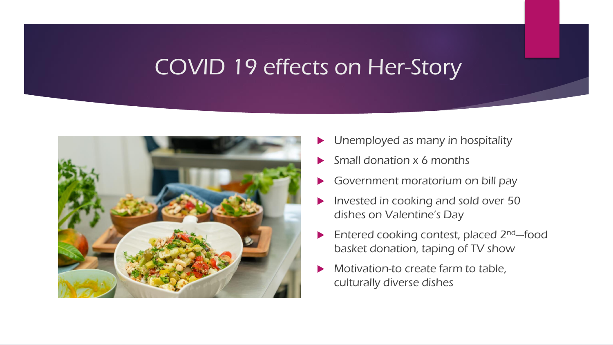# COVID 19 effects on Her-Story



- Unemployed as many in hospitality
- Small donation x 6 months
- Government moratorium on bill pay
- Invested in cooking and sold over 50 dishes on Valentine's Day
- $\blacktriangleright$  Entered cooking contest, placed 2<sup>nd</sup>—food basket donation, taping of TV show
- Motivation-to create farm to table, culturally diverse dishes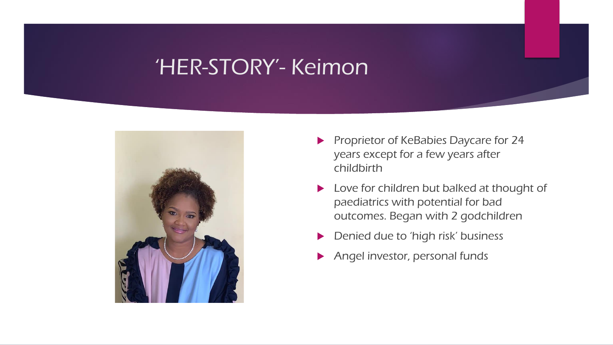## 'HER-STORY'- Keimon



- Proprietor of KeBabies Daycare for 24 years except for a few years after childbirth
- ▶ Love for children but balked at thought of paediatrics with potential for bad outcomes. Began with 2 godchildren
- Denied due to 'high risk' business
- Angel investor, personal funds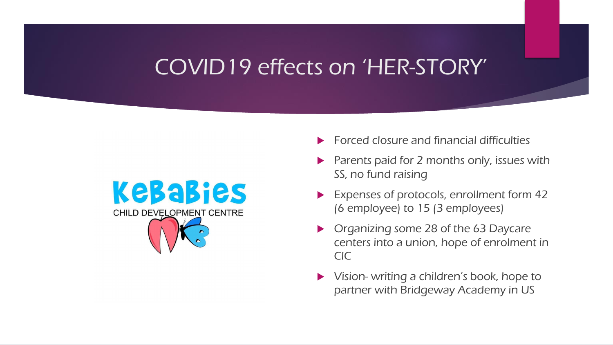# COVID19 effects on 'HER-STORY'



- Forced closure and financial difficulties
- Parents paid for 2 months only, issues with SS, no fund raising
- Expenses of protocols, enrollment form 42 (6 employee) to 15 (3 employees)
- Organizing some 28 of the 63 Daycare centers into a union, hope of enrolment in CIC
- Vision- writing a children's book, hope to partner with Bridgeway Academy in US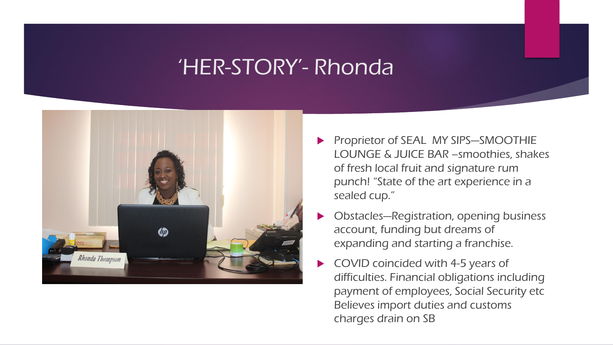#### 'HER-STORY'- Rhonda



- Proprietor of SEAL MY SIPS—SMOOTHIE LOUNGE & JUICE BAR –smoothies, shakes of fresh local fruit and signature rum punch! "State of the art experience in a sealed cup."
- Obstacles—Registration, opening business account, funding but dreams of expanding and starting a franchise.
- COVID coincided with 4-5 years of difficulties. Financial obligations including payment of employees, Social Security etc Believes import duties and customs charges drain on SB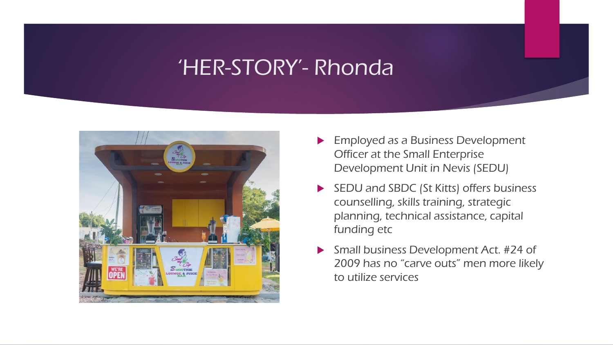## 'HER-STORY'- Rhonda



- **Employed as a Business Development** Officer at the Small Enterprise Development Unit in Nevis (SEDU)
- SEDU and SBDC (St Kitts) offers business counselling, skills training, strategic planning, technical assistance, capital funding etc
- ▶ Small business Development Act. #24 of 2009 has no "carve outs" men more likely to utilize services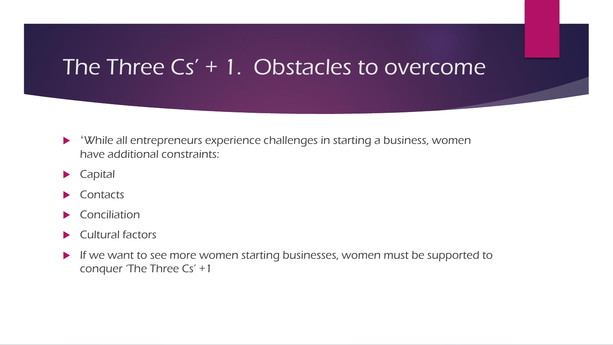#### The Three Cs' + 1. Obstacles to overcome

- 'While all entrepreneurs experience challenges in starting a business, women have additional constraints:
- **Capital**
- $\blacktriangleright$  Contacts
- $\blacktriangleright$  Conciliation
- $\blacktriangleright$  Cultural factors
- If we want to see more women starting businesses, women must be supported to conquer 'The Three Cs' +1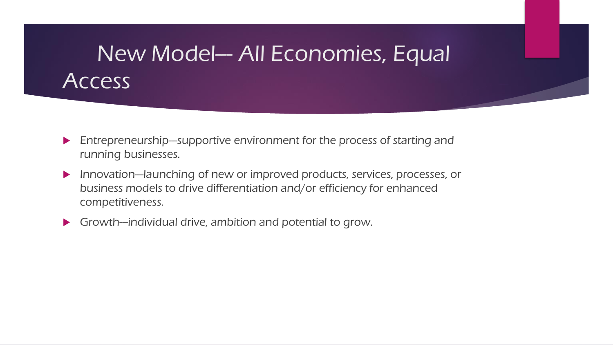# New Model--- All Economies, Equal **Access**

- $\blacktriangleright$  Entrepreneurship--supportive environment for the process of starting and running businesses.
- Innovation--launching of new or improved products, services, processes, or business models to drive differentiation and/or efficiency for enhanced competitiveness.
- $\blacktriangleright$  Growth--individual drive, ambition and potential to grow.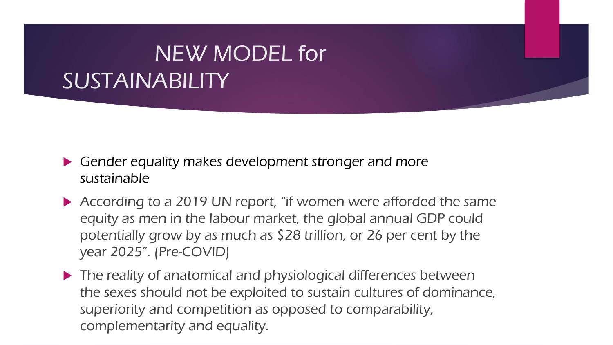# NEW MODEL for SUSTAINABILITY

- Gender equality makes development stronger and more sustainable
- According to a 2019 UN report, "if women were afforded the same equity as men in the labour market, the global annual GDP could potentially grow by as much as \$28 trillion, or 26 per cent by the year 2025". (Pre-COVID)
- $\blacktriangleright$  The reality of anatomical and physiological differences between the sexes should not be exploited to sustain cultures of dominance, superiority and competition as opposed to comparability, complementarity and equality.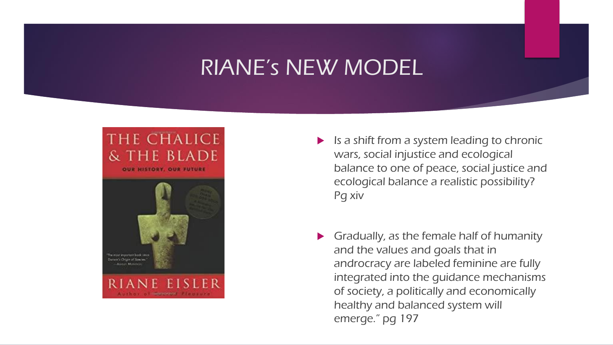# RIANE's NEW MODEL



 $\blacktriangleright$  Is a shift from a system leading to chronic wars, social injustice and ecological balance to one of peace, social justice and ecological balance a realistic possibility? Pg xiv

 Gradually, as the female half of humanity and the values and goals that in androcracy are labeled feminine are fully integrated into the guidance mechanisms of society, a politically and economically healthy and balanced system will emerge." pg 197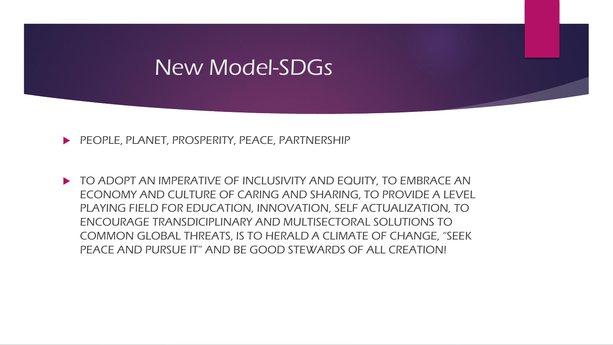#### New Model-SDGs

PEOPLE, PLANET, PROSPERITY, PEACE, PARTNERSHIP

TO ADOPT AN IMPERATIVE OF INCLUSIVITY AND EQUITY, TO EMBRACE AN ECONOMY AND CULTURE OF CARING AND SHARING, TO PROVIDE A LEVEL PLAYING FIELD FOR EDUCATION, INNOVATION, SELF ACTUALIZATION, TO ENCOURAGE TRANSDICIPLINARY AND MULTISECTORAL SOLUTIONS TO COMMON GLOBAL THREATS, IS TO HERALD A CLIMATE OF CHANGE, "SEEK PEACE AND PURSUE IT" AND BE GOOD STEWARDS OF ALL CREATION!